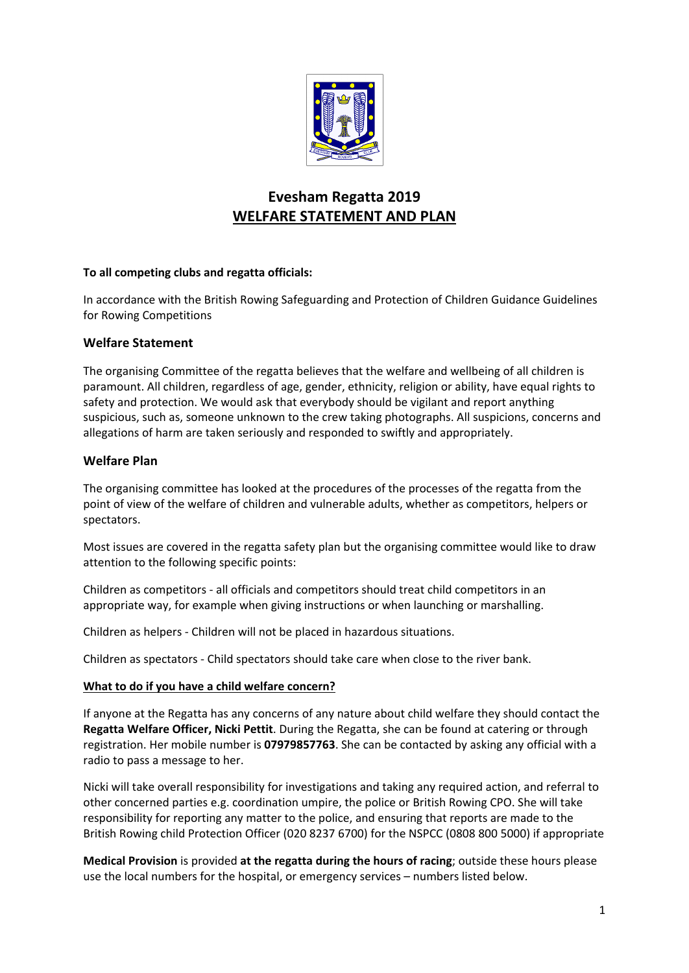

# **Evesham Regatta 2019 WELFARE STATEMENT AND PLAN**

## **To all competing clubs and regatta officials:**

In accordance with the British Rowing Safeguarding and Protection of Children Guidance Guidelines for Rowing Competitions

## **Welfare Statement**

The organising Committee of the regatta believes that the welfare and wellbeing of all children is paramount. All children, regardless of age, gender, ethnicity, religion or ability, have equal rights to safety and protection. We would ask that everybody should be vigilant and report anything suspicious, such as, someone unknown to the crew taking photographs. All suspicions, concerns and allegations of harm are taken seriously and responded to swiftly and appropriately.

## **Welfare Plan**

The organising committee has looked at the procedures of the processes of the regatta from the point of view of the welfare of children and vulnerable adults, whether as competitors, helpers or spectators.

Most issues are covered in the regatta safety plan but the organising committee would like to draw attention to the following specific points:

Children as competitors - all officials and competitors should treat child competitors in an appropriate way, for example when giving instructions or when launching or marshalling.

Children as helpers - Children will not be placed in hazardous situations.

Children as spectators - Child spectators should take care when close to the river bank.

#### **What to do if you have a child welfare concern?**

If anyone at the Regatta has any concerns of any nature about child welfare they should contact the **Regatta Welfare Officer, Nicki Pettit**. During the Regatta, she can be found at catering or through registration. Her mobile number is **07979857763**. She can be contacted by asking any official with a radio to pass a message to her.

Nicki will take overall responsibility for investigations and taking any required action, and referral to other concerned parties e.g. coordination umpire, the police or British Rowing CPO. She will take responsibility for reporting any matter to the police, and ensuring that reports are made to the British Rowing child Protection Officer (020 8237 6700) for the NSPCC (0808 800 5000) if appropriate

**Medical Provision** is provided **at the regatta during the hours of racing**; outside these hours please use the local numbers for the hospital, or emergency services – numbers listed below.